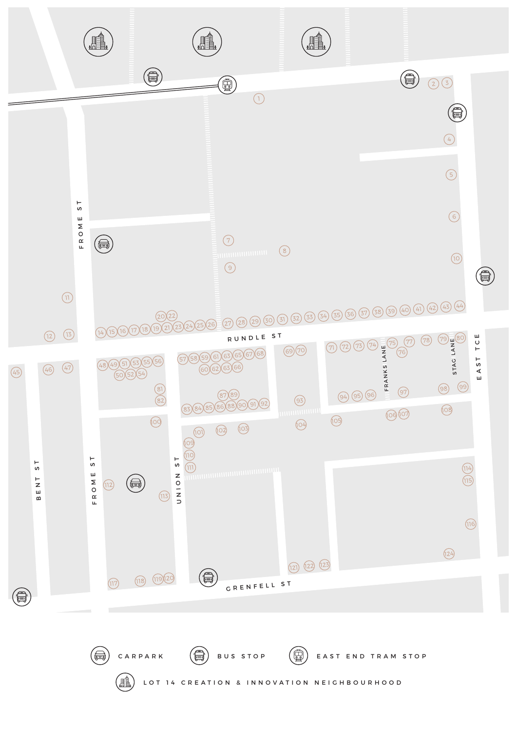

LOT 14 CREATION & INNOVATION NEIGHBOURHOOD